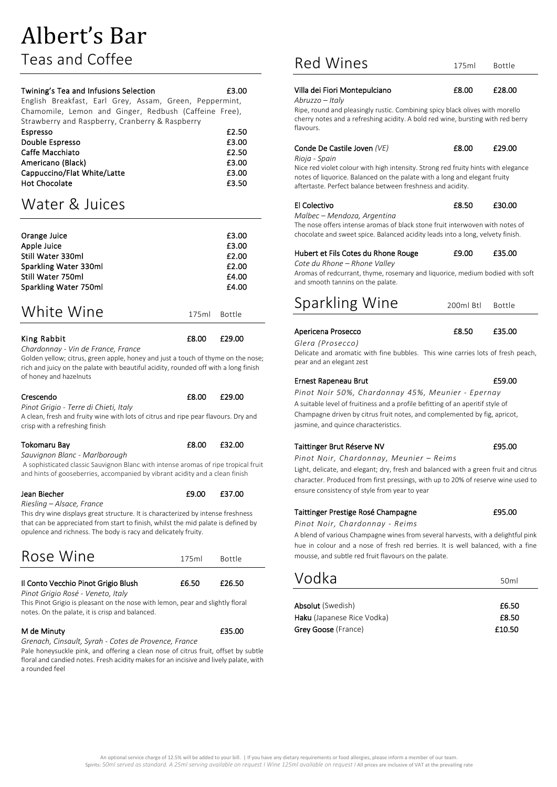Teas and Coffee

| Twining's Tea and Infusions Selection                   | £3.00 |
|---------------------------------------------------------|-------|
| English Breakfast, Earl Grey, Assam, Green, Peppermint, |       |
| Chamomile, Lemon and Ginger, Redbush (Caffeine Free),   |       |
| Strawberry and Raspberry, Cranberry & Raspberry         |       |
| Espresso                                                | £2.50 |
| Double Espresso                                         | £3.00 |
| Caffe Macchiato                                         | £2.50 |
| Americano (Black)                                       | £3.00 |
| Cappuccino/Flat White/Latte                             | £3.00 |
| <b>Hot Chocolate</b>                                    | £3.50 |

## Water & Juices

| Orange Juice          | £3.00           |
|-----------------------|-----------------|
| Apple Juice           | £3.00           |
| Still Water 330ml     | £2.00           |
| Sparkling Water 330ml | £2.00           |
| Still Water 750ml     | £4.00           |
| Sparkling Water 750ml | £4.00           |
|                       |                 |
| White Wine            | 175ml<br>Bottle |

King Rabbit **E8.00** £29.00 *Chardonnay - Vin de France, France*

Golden yellow; citrus, green apple, honey and just a touch of thyme on the nose; rich and juicy on the palate with beautiful acidity, rounded off with a long finish of honey and hazelnuts

#### Crescendo £8.00 £29.00

*Pinot Grigio - Terre di Chieti, Italy*

A clean, fresh and fruity wine with lots of citrus and ripe pear flavours. Dry and crisp with a refreshing finish

#### Tokomaru Bay **E8.00** E32.00

*Sauvignon Blanc - Marlborough*

A sophisticated classic Sauvignon Blanc with intense aromas of ripe tropical fruit and hints of gooseberries, accompanied by vibrant acidity and a clean finish

Jean Biecher **E9.00** £37.00

*Riesling – Alsace, France*

This dry wine displays great structure. It is characterized by intense freshness that can be appreciated from start to finish, whilst the mid palate is defined by opulence and richness. The body is racy and delicately fruity.

# Rose Wine 175ml Bottle

#### Il Conto Vecchio Pinot Grigio Blush  $£6.50$  £26.50

*Pinot Grigio Rosé - Veneto, Italy*

This Pinot Grigio is pleasant on the nose with lemon, pear and slightly floral notes. On the palate, it is crisp and balanced.

#### M de Minuty **E35.00**

*Grenach, Cinsault, Syrah - Cotes de Provence, France* 

Pale honeysuckle pink, and offering a clean nose of citrus fruit, offset by subtle floral and candied notes. Fresh acidity makes for an incisive and lively palate, with a rounded feel

### Red Wines 175ml Bottle

#### Villa dei Fiori Montepulciano £8.00 £28.00

*Abruzzo – Italy*

Ripe, round and pleasingly rustic. Combining spicy black olives with morello cherry notes and a refreshing acidity. A bold red wine, bursting with red berry flavours.

#### Conde De Castile Joven *(VE)* 68.00 £29.00

*Rioja - Spain*

Nice red violet colour with high intensity. Strong red fruity hints with elegance notes of liquorice. Balanced on the palate with a long and elegant fruity aftertaste. Perfect balance between freshness and acidity.

#### El Colectivo **El Colectivo E**s.50 £30.00

*Malbec – Mendoza, Argentina*

The nose offers intense aromas of black stone fruit interwoven with notes of chocolate and sweet spice. Balanced acidity leads into a long, velvety finish.

#### Hubert et Fils Cotes du Rhone Rouge  $£9.00$  £35.00

*Cote du Rhone – Rhone Valley*

Aromas of redcurrant, thyme, rosemary and liquorice, medium bodied with soft and smooth tannins on the palate.

# Sparkling Wine 200ml Btl Bottle

*Glera (Prosecco)*

Apericena Prosecco <br>
E8.50 £35.00

#### Delicate and aromatic with fine bubbles. This wine carries lots of fresh peach, pear and an elegant zest

#### Ernest Rapeneau Brut **ES9.00**

*Pinot Noir 50%, Chardonnay 45%, Meunier - Epernay* A suitable level of fruitiness and a profile befitting of an aperitif style of Champagne driven by citrus fruit notes, and complemented by fig, apricot, jasmine, and quince characteristics.

#### Taittinger Brut Réserve NV **E95.00**

*Pinot Noir, Chardonnay, Meunier – Reims*

Light, delicate, and elegant; dry, fresh and balanced with a green fruit and citrus character. Produced from first pressings, with up to 20% of reserve wine used to ensure consistency of style from year to year

#### Taittinger Prestige Rosé Champagne **195.00**

*Pinot Noir, Chardonnay - Reims*

A blend of various Champagne wines from several harvests, with a delightful pink hue in colour and a nose of fresh red berries. It is well balanced, with a fine mousse, and subtle red fruit flavours on the palate.

| Vodka                      | 50 <sub>ml</sub> |
|----------------------------|------------------|
|                            |                  |
| <b>Absolut</b> (Swedish)   | £6.50            |
| Haku (Japanese Rice Vodka) | £8.50            |
| Grey Goose (France)        | £10.50           |